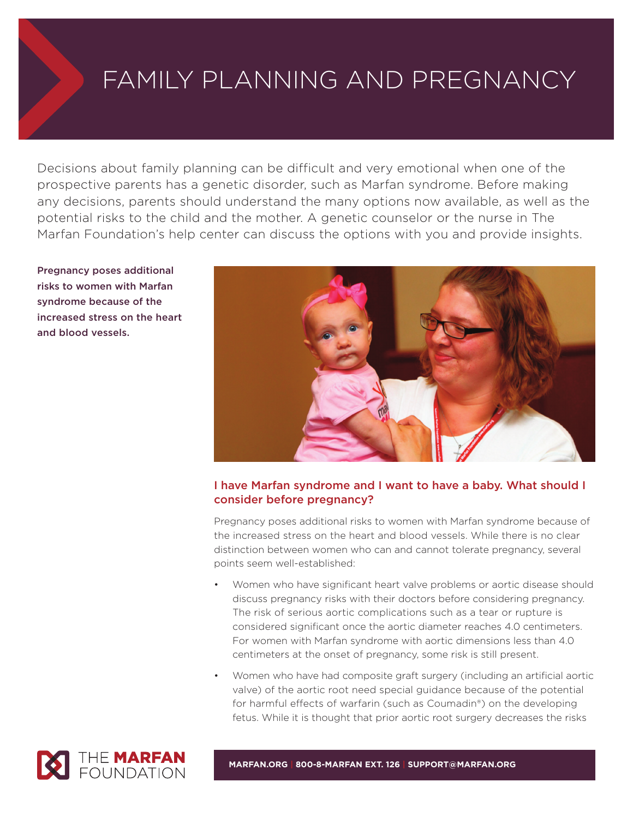# FAMILY PLANNING AND PREGNANCY

Decisions about family planning can be difficult and very emotional when one of the prospective parents has a genetic disorder, such as Marfan syndrome. Before making any decisions, parents should understand the many options now available, as well as the potential risks to the child and the mother. A genetic counselor or the nurse in The Marfan Foundation's help center can discuss the options with you and provide insights.

**Pregnancy poses additional risks to women with Marfan syndrome because of the increased stress on the heart and blood vessels.**



# **I have Marfan syndrome and I want to have a baby. What should I consider before pregnancy?**

Pregnancy poses additional risks to women with Marfan syndrome because of the increased stress on the heart and blood vessels. While there is no clear distinction between women who can and cannot tolerate pregnancy, several points seem well-established:

- Women who have significant heart valve problems or aortic disease should discuss pregnancy risks with their doctors before considering pregnancy. The risk of serious aortic complications such as a tear or rupture is considered significant once the aortic diameter reaches 4.0 centimeters. For women with Marfan syndrome with aortic dimensions less than 4.0 centimeters at the onset of pregnancy, some risk is still present.
- Women who have had composite graft surgery (including an artificial aortic valve) of the aortic root need special guidance because of the potential for harmful effects of warfarin (such as Coumadin®) on the developing fetus. While it is thought that prior aortic root surgery decreases the risks



**MARFAN.ORG | 800-8-MARFAN EXT. 126 | SUPPORT@MARFAN.ORG**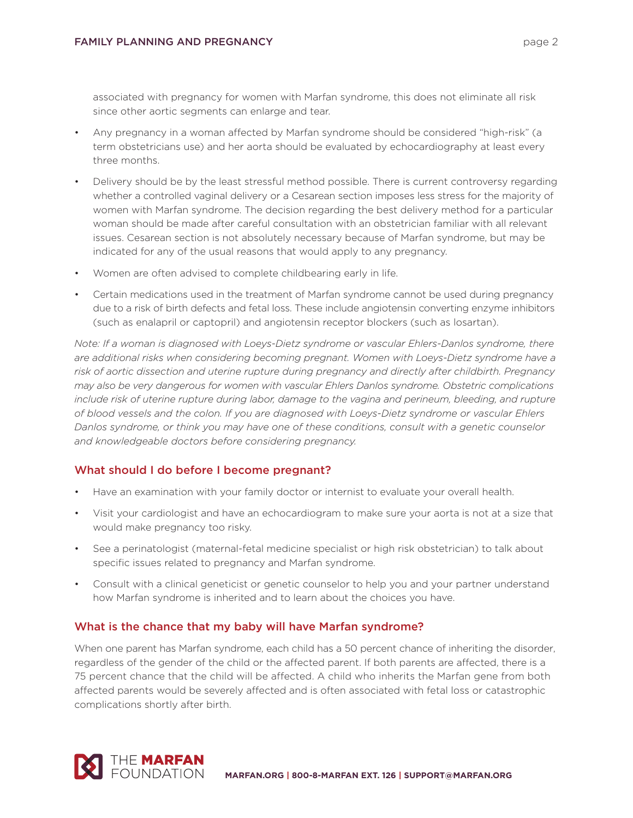associated with pregnancy for women with Marfan syndrome, this does not eliminate all risk since other aortic segments can enlarge and tear.

- Any pregnancy in a woman affected by Marfan syndrome should be considered "high-risk" (a term obstetricians use) and her aorta should be evaluated by echocardiography at least every three months.
- Delivery should be by the least stressful method possible. There is current controversy regarding whether a controlled vaginal delivery or a Cesarean section imposes less stress for the majority of women with Marfan syndrome. The decision regarding the best delivery method for a particular woman should be made after careful consultation with an obstetrician familiar with all relevant issues. Cesarean section is not absolutely necessary because of Marfan syndrome, but may be indicated for any of the usual reasons that would apply to any pregnancy.
- Women are often advised to complete childbearing early in life.
- Certain medications used in the treatment of Marfan syndrome cannot be used during pregnancy due to a risk of birth defects and fetal loss. These include angiotensin converting enzyme inhibitors (such as enalapril or captopril) and angiotensin receptor blockers (such as losartan).

*Note: If a woman is diagnosed with Loeys-Dietz syndrome or vascular Ehlers-Danlos syndrome, there are additional risks when considering becoming pregnant. Women with Loeys-Dietz syndrome have a risk of aortic dissection and uterine rupture during pregnancy and directly after childbirth. Pregnancy may also be very dangerous for women with vascular Ehlers Danlos syndrome. Obstetric complications include risk of uterine rupture during labor, damage to the vagina and perineum, bleeding, and rupture of blood vessels and the colon. If you are diagnosed with Loeys-Dietz syndrome or vascular Ehlers Danlos syndrome, or think you may have one of these conditions, consult with a genetic counselor and knowledgeable doctors before considering pregnancy.*

# **What should I do before I become pregnant?**

- Have an examination with your family doctor or internist to evaluate your overall health.
- Visit your cardiologist and have an echocardiogram to make sure your aorta is not at a size that would make pregnancy too risky.
- See a perinatologist (maternal-fetal medicine specialist or high risk obstetrician) to talk about specific issues related to pregnancy and Marfan syndrome.
- Consult with a clinical geneticist or genetic counselor to help you and your partner understand how Marfan syndrome is inherited and to learn about the choices you have.

#### **What is the chance that my baby will have Marfan syndrome?**

When one parent has Marfan syndrome, each child has a 50 percent chance of inheriting the disorder, regardless of the gender of the child or the affected parent. If both parents are affected, there is a 75 percent chance that the child will be affected. A child who inherits the Marfan gene from both affected parents would be severely affected and is often associated with fetal loss or catastrophic complications shortly after birth.

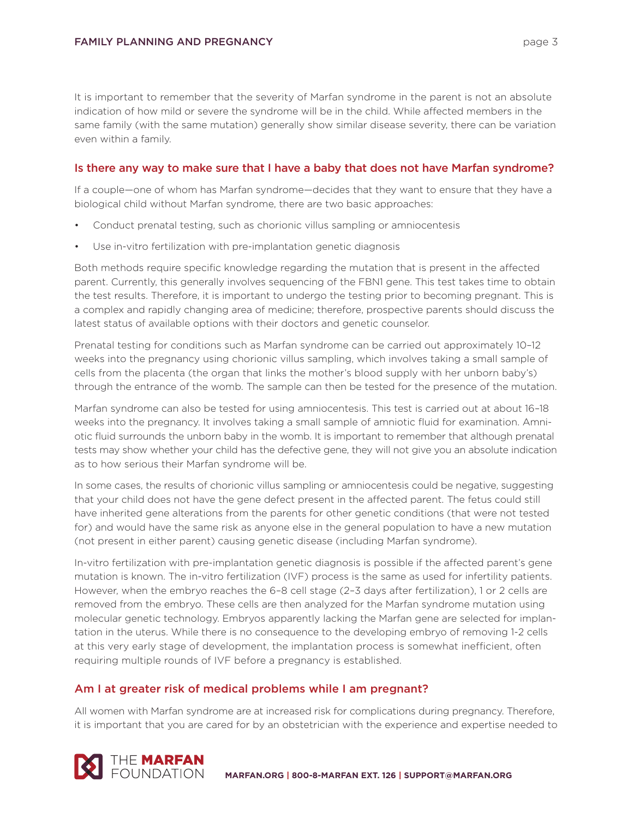It is important to remember that the severity of Marfan syndrome in the parent is not an absolute indication of how mild or severe the syndrome will be in the child. While affected members in the same family (with the same mutation) generally show similar disease severity, there can be variation even within a family.

#### **Is there any way to make sure that I have a baby that does not have Marfan syndrome?**

If a couple—one of whom has Marfan syndrome—decides that they want to ensure that they have a biological child without Marfan syndrome, there are two basic approaches:

- Conduct prenatal testing, such as chorionic villus sampling or amniocentesis
- Use in-vitro fertilization with pre-implantation genetic diagnosis

Both methods require specific knowledge regarding the mutation that is present in the affected parent. Currently, this generally involves sequencing of the FBN1 gene. This test takes time to obtain the test results. Therefore, it is important to undergo the testing prior to becoming pregnant. This is a complex and rapidly changing area of medicine; therefore, prospective parents should discuss the latest status of available options with their doctors and genetic counselor.

Prenatal testing for conditions such as Marfan syndrome can be carried out approximately 10–12 weeks into the pregnancy using chorionic villus sampling, which involves taking a small sample of cells from the placenta (the organ that links the mother's blood supply with her unborn baby's) through the entrance of the womb. The sample can then be tested for the presence of the mutation.

Marfan syndrome can also be tested for using amniocentesis. This test is carried out at about 16–18 weeks into the pregnancy. It involves taking a small sample of amniotic fluid for examination. Amniotic fluid surrounds the unborn baby in the womb. It is important to remember that although prenatal tests may show whether your child has the defective gene, they will not give you an absolute indication as to how serious their Marfan syndrome will be.

In some cases, the results of chorionic villus sampling or amniocentesis could be negative, suggesting that your child does not have the gene defect present in the affected parent. The fetus could still have inherited gene alterations from the parents for other genetic conditions (that were not tested for) and would have the same risk as anyone else in the general population to have a new mutation (not present in either parent) causing genetic disease (including Marfan syndrome).

In-vitro fertilization with pre-implantation genetic diagnosis is possible if the affected parent's gene mutation is known. The in-vitro fertilization (IVF) process is the same as used for infertility patients. However, when the embryo reaches the 6–8 cell stage (2–3 days after fertilization), 1 or 2 cells are removed from the embryo. These cells are then analyzed for the Marfan syndrome mutation using molecular genetic technology. Embryos apparently lacking the Marfan gene are selected for implantation in the uterus. While there is no consequence to the developing embryo of removing 1-2 cells at this very early stage of development, the implantation process is somewhat inefficient, often requiring multiple rounds of IVF before a pregnancy is established.

# **Am I at greater risk of medical problems while I am pregnant?**

All women with Marfan syndrome are at increased risk for complications during pregnancy. Therefore, it is important that you are cared for by an obstetrician with the experience and expertise needed to

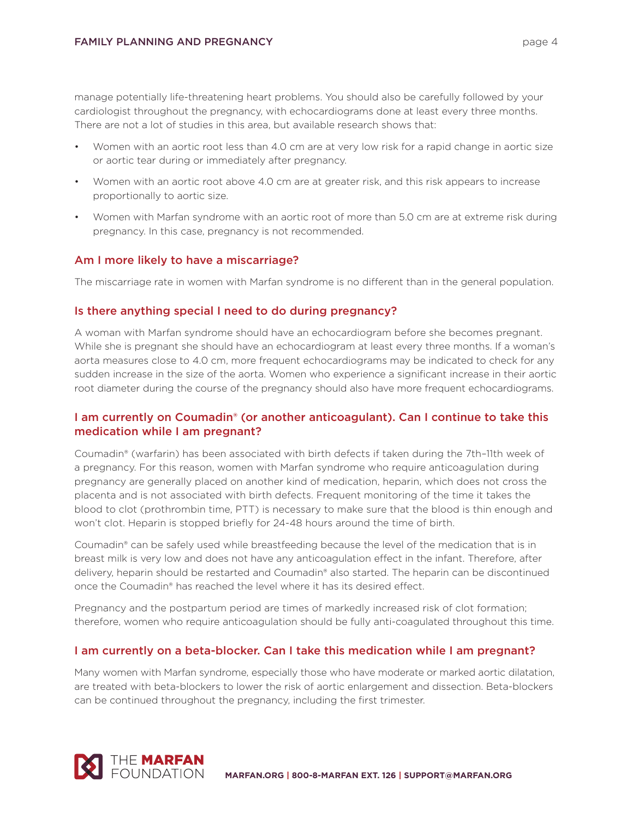manage potentially life-threatening heart problems. You should also be carefully followed by your cardiologist throughout the pregnancy, with echocardiograms done at least every three months. There are not a lot of studies in this area, but available research shows that:

- Women with an aortic root less than 4.0 cm are at very low risk for a rapid change in aortic size or aortic tear during or immediately after pregnancy.
- Women with an aortic root above 4.0 cm are at greater risk, and this risk appears to increase proportionally to aortic size.
- Women with Marfan syndrome with an aortic root of more than 5.0 cm are at extreme risk during pregnancy. In this case, pregnancy is not recommended.

#### **Am I more likely to have a miscarriage?**

The miscarriage rate in women with Marfan syndrome is no different than in the general population.

#### **Is there anything special I need to do during pregnancy?**

A woman with Marfan syndrome should have an echocardiogram before she becomes pregnant. While she is pregnant she should have an echocardiogram at least every three months. If a woman's aorta measures close to 4.0 cm, more frequent echocardiograms may be indicated to check for any sudden increase in the size of the aorta. Women who experience a significant increase in their aortic root diameter during the course of the pregnancy should also have more frequent echocardiograms.

# **I am currently on Coumadin® (or another anticoagulant). Can I continue to take this medication while I am pregnant?**

Coumadin® (warfarin) has been associated with birth defects if taken during the 7th–11th week of a pregnancy. For this reason, women with Marfan syndrome who require anticoagulation during pregnancy are generally placed on another kind of medication, heparin, which does not cross the placenta and is not associated with birth defects. Frequent monitoring of the time it takes the blood to clot (prothrombin time, PTT) is necessary to make sure that the blood is thin enough and won't clot. Heparin is stopped briefly for 24-48 hours around the time of birth.

Coumadin® can be safely used while breastfeeding because the level of the medication that is in breast milk is very low and does not have any anticoagulation effect in the infant. Therefore, after delivery, heparin should be restarted and Coumadin® also started. The heparin can be discontinued once the Coumadin® has reached the level where it has its desired effect.

Pregnancy and the postpartum period are times of markedly increased risk of clot formation; therefore, women who require anticoagulation should be fully anti-coagulated throughout this time.

#### **I am currently on a beta-blocker. Can I take this medication while I am pregnant?**

Many women with Marfan syndrome, especially those who have moderate or marked aortic dilatation, are treated with beta-blockers to lower the risk of aortic enlargement and dissection. Beta-blockers can be continued throughout the pregnancy, including the first trimester.

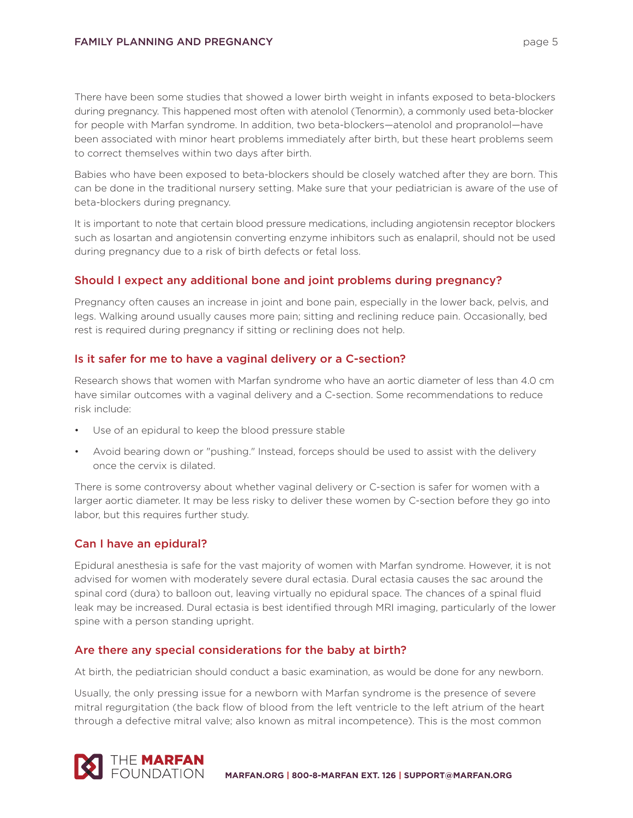There have been some studies that showed a lower birth weight in infants exposed to beta-blockers during pregnancy. This happened most often with atenolol (Tenormin), a commonly used beta-blocker for people with Marfan syndrome. In addition, two beta-blockers—atenolol and propranolol—have been associated with minor heart problems immediately after birth, but these heart problems seem to correct themselves within two days after birth.

Babies who have been exposed to beta-blockers should be closely watched after they are born. This can be done in the traditional nursery setting. Make sure that your pediatrician is aware of the use of beta-blockers during pregnancy.

It is important to note that certain blood pressure medications, including angiotensin receptor blockers such as losartan and angiotensin converting enzyme inhibitors such as enalapril, should not be used during pregnancy due to a risk of birth defects or fetal loss.

# **Should I expect any additional bone and joint problems during pregnancy?**

Pregnancy often causes an increase in joint and bone pain, especially in the lower back, pelvis, and legs. Walking around usually causes more pain; sitting and reclining reduce pain. Occasionally, bed rest is required during pregnancy if sitting or reclining does not help.

#### **Is it safer for me to have a vaginal delivery or a C-section?**

Research shows that women with Marfan syndrome who have an aortic diameter of less than 4.0 cm have similar outcomes with a vaginal delivery and a C-section. Some recommendations to reduce risk include:

- Use of an epidural to keep the blood pressure stable
- Avoid bearing down or "pushing." Instead, forceps should be used to assist with the delivery once the cervix is dilated.

There is some controversy about whether vaginal delivery or C-section is safer for women with a larger aortic diameter. It may be less risky to deliver these women by C-section before they go into labor, but this requires further study.

# **Can I have an epidural?**

Epidural anesthesia is safe for the vast majority of women with Marfan syndrome. However, it is not advised for women with moderately severe dural ectasia. Dural ectasia causes the sac around the spinal cord (dura) to balloon out, leaving virtually no epidural space. The chances of a spinal fluid leak may be increased. Dural ectasia is best identified through MRI imaging, particularly of the lower spine with a person standing upright.

# **Are there any special considerations for the baby at birth?**

At birth, the pediatrician should conduct a basic examination, as would be done for any newborn.

Usually, the only pressing issue for a newborn with Marfan syndrome is the presence of severe mitral regurgitation (the back flow of blood from the left ventricle to the left atrium of the heart through a defective mitral valve; also known as mitral incompetence). This is the most common